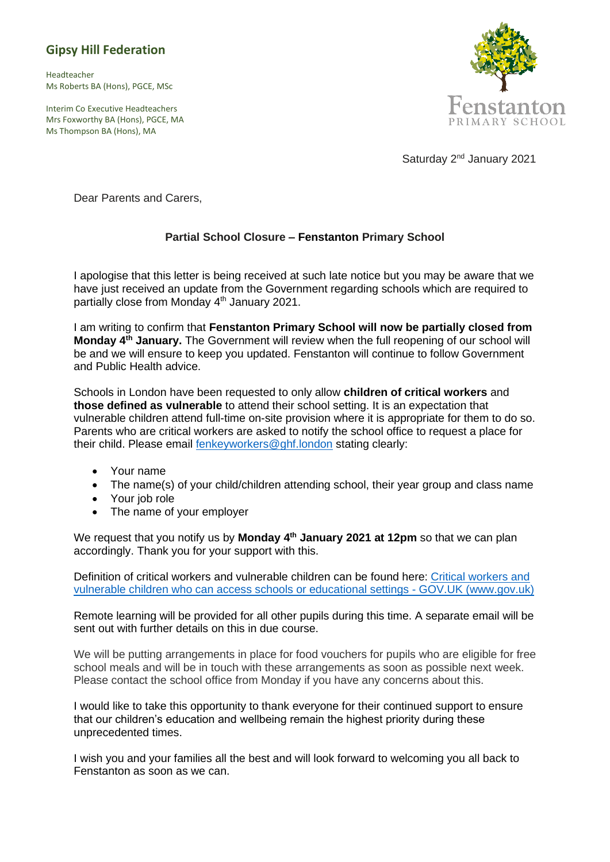## **Gipsy Hill Federation**

Headteacher Ms Roberts BA (Hons), PGCE, MSc

Interim Co Executive Headteachers Mrs Foxworthy BA (Hons), PGCE, MA Ms Thompson BA (Hons), MA



Saturday 2<sup>nd</sup> January 2021

Dear Parents and Carers,

## **Partial School Closure – Fenstanton Primary School**

I apologise that this letter is being received at such late notice but you may be aware that we have just received an update from the Government regarding schools which are required to partially close from Monday 4<sup>th</sup> January 2021.

I am writing to confirm that **Fenstanton Primary School will now be partially closed from Monday 4th January.** The Government will review when the full reopening of our school will be and we will ensure to keep you updated. Fenstanton will continue to follow Government and Public Health advice.

Schools in London have been requested to only allow **children of critical workers** and **those defined as vulnerable** to attend their school setting. It is an expectation that vulnerable children attend full-time on-site provision where it is appropriate for them to do so. Parents who are critical workers are asked to notify the school office to request a place for their child. Please email [fenkeyworkers@ghf.london](mailto:fenkeyworkers@ghf.london) stating clearly:

- Your name
- The name(s) of your child/children attending school, their year group and class name
- Your job role
- The name of your employer

We request that you notify us by **Monday 4<sup>th</sup> January 2021 at 12pm** so that we can plan accordingly. Thank you for your support with this.

Definition of critical workers and vulnerable children can be found here: [Critical workers and](https://www.gov.uk/government/publications/coronavirus-covid-19-maintaining-educational-provision/guidance-for-schools-colleges-and-local-authorities-on-maintaining-educational-provision#critical-workers)  [vulnerable children who can access schools or educational settings -](https://www.gov.uk/government/publications/coronavirus-covid-19-maintaining-educational-provision/guidance-for-schools-colleges-and-local-authorities-on-maintaining-educational-provision#critical-workers) GOV.UK (www.gov.uk)

Remote learning will be provided for all other pupils during this time. A separate email will be sent out with further details on this in due course.

We will be putting arrangements in place for food vouchers for pupils who are eligible for free school meals and will be in touch with these arrangements as soon as possible next week. Please contact the school office from Monday if you have any concerns about this.

I would like to take this opportunity to thank everyone for their continued support to ensure that our children's education and wellbeing remain the highest priority during these unprecedented times.

I wish you and your families all the best and will look forward to welcoming you all back to Fenstanton as soon as we can.